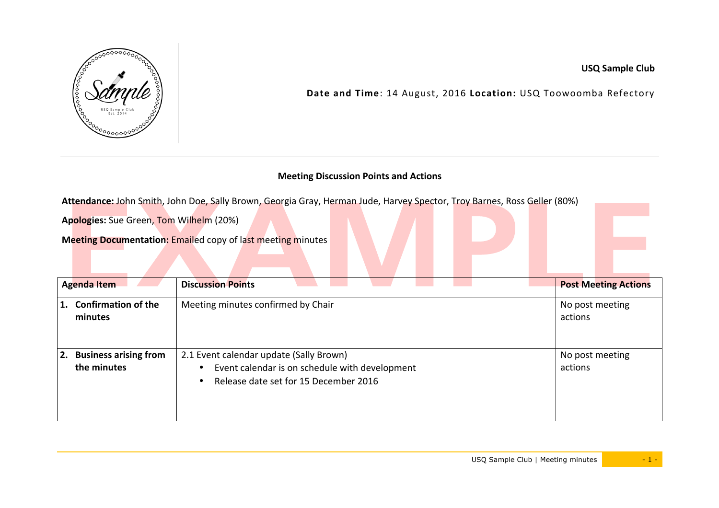

**USQ Sample Club**

Date and Time: 14 August, 2016 Location: USQ Toowoomba Refectory

## **Meeting Discussion Points and Actions**

Attendance: John Smith, John Doe, Sally Brown, Georgia Gray, Herman Jude, Harvey Spector, Troy Barnes, Ross Geller (80%)

**Apologies:** Sue Green, Tom Wilhelm (20%)

**Meeting Documentation: Emailed copy of last meeting minutes** 

| <b>Agenda Item</b>                                | <b>Discussion Points</b>                                                                                                           | <b>Post Meeting Actions</b> |
|---------------------------------------------------|------------------------------------------------------------------------------------------------------------------------------------|-----------------------------|
| <b>Confirmation of the</b><br>minutes             | Meeting minutes confirmed by Chair                                                                                                 | No post meeting<br>actions  |
| <b>Business arising from</b><br>2.<br>the minutes | 2.1 Event calendar update (Sally Brown)<br>Event calendar is on schedule with development<br>Release date set for 15 December 2016 | No post meeting<br>actions  |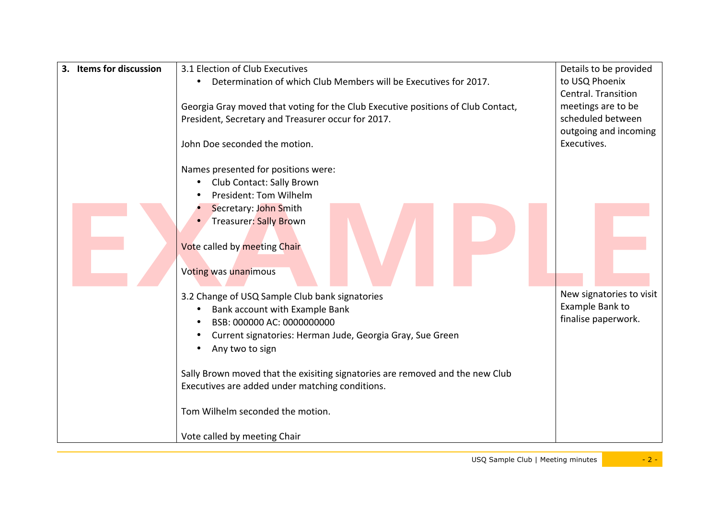